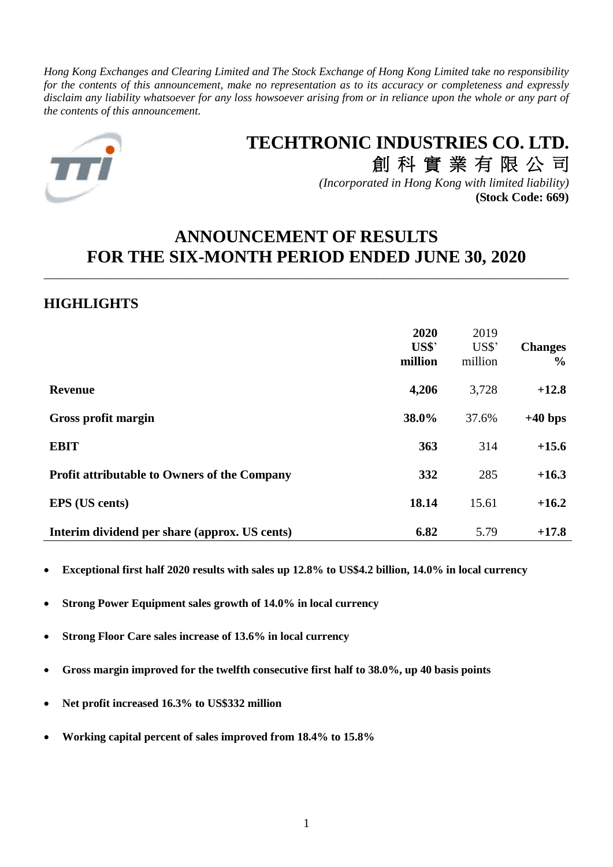*Hong Kong Exchanges and Clearing Limited and The Stock Exchange of Hong Kong Limited take no responsibility for the contents of this announcement, make no representation as to its accuracy or completeness and expressly disclaim any liability whatsoever for any loss howsoever arising from or in reliance upon the whole or any part of the contents of this announcement.*



# **TECHTRONIC INDUSTRIES CO. LTD.** 創 科 實 業 有 限 公 司

*(Incorporated in Hong Kong with limited liability)* **(Stock Code: 669)**

# **ANNOUNCEMENT OF RESULTS FOR THE SIX-MONTH PERIOD ENDED JUNE 30, 2020**

\_\_\_\_\_\_\_\_\_\_\_\_\_\_\_\_\_\_\_\_\_\_\_\_\_\_\_\_\_\_\_\_\_\_\_\_\_\_\_\_\_\_\_\_\_\_\_\_\_\_\_\_\_\_\_\_\_\_\_\_\_\_\_\_\_\_\_\_\_\_\_\_\_\_\_\_\_\_\_\_\_\_\_\_\_

# **HIGHLIGHTS**

|                                                     | 2020<br>US\$'<br>million | 2019<br>$US$^"$<br>million | <b>Changes</b><br>$\frac{6}{9}$ |
|-----------------------------------------------------|--------------------------|----------------------------|---------------------------------|
| <b>Revenue</b>                                      | 4,206                    | 3,728                      | $+12.8$                         |
| Gross profit margin                                 | 38.0%                    | 37.6%                      | $+40$ bps                       |
| <b>EBIT</b>                                         | 363                      | 314                        | $+15.6$                         |
| <b>Profit attributable to Owners of the Company</b> | 332                      | 285                        | $+16.3$                         |
| <b>EPS</b> (US cents)                               | 18.14                    | 15.61                      | $+16.2$                         |
| Interim dividend per share (approx. US cents)       | 6.82                     | 5.79                       | $+17.8$                         |

• **Exceptional first half 2020 results with sales up 12.8% to US\$4.2 billion, 14.0% in local currency**

- **Strong Power Equipment sales growth of 14.0% in local currency**
- **Strong Floor Care sales increase of 13.6% in local currency**
- **Gross margin improved for the twelfth consecutive first half to 38.0%, up 40 basis points**
- **Net profit increased 16.3% to US\$332 million**
- **Working capital percent of sales improved from 18.4% to 15.8%**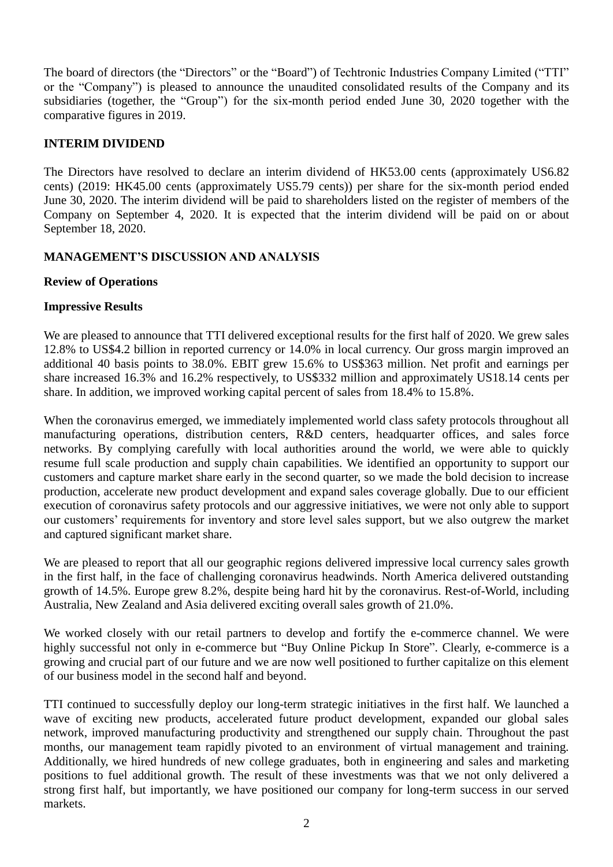The board of directors (the "Directors" or the "Board") of Techtronic Industries Company Limited ("TTI" or the "Company") is pleased to announce the unaudited consolidated results of the Company and its subsidiaries (together, the "Group") for the six-month period ended June 30, 2020 together with the comparative figures in 2019.

# **INTERIM DIVIDEND**

The Directors have resolved to declare an interim dividend of HK53.00 cents (approximately US6.82 cents) (2019: HK45.00 cents (approximately US5.79 cents)) per share for the six-month period ended June 30, 2020. The interim dividend will be paid to shareholders listed on the register of members of the Company on September 4, 2020. It is expected that the interim dividend will be paid on or about September 18, 2020.

# **MANAGEMENT'S DISCUSSION AND ANALYSIS**

## **Review of Operations**

## **Impressive Results**

We are pleased to announce that TTI delivered exceptional results for the first half of 2020. We grew sales 12.8% to US\$4.2 billion in reported currency or 14.0% in local currency. Our gross margin improved an additional 40 basis points to 38.0%. EBIT grew 15.6% to US\$363 million. Net profit and earnings per share increased 16.3% and 16.2% respectively, to US\$332 million and approximately US18.14 cents per share. In addition, we improved working capital percent of sales from 18.4% to 15.8%.

When the coronavirus emerged, we immediately implemented world class safety protocols throughout all manufacturing operations, distribution centers, R&D centers, headquarter offices, and sales force networks. By complying carefully with local authorities around the world, we were able to quickly resume full scale production and supply chain capabilities. We identified an opportunity to support our customers and capture market share early in the second quarter, so we made the bold decision to increase production, accelerate new product development and expand sales coverage globally. Due to our efficient execution of coronavirus safety protocols and our aggressive initiatives, we were not only able to support our customers' requirements for inventory and store level sales support, but we also outgrew the market and captured significant market share.

We are pleased to report that all our geographic regions delivered impressive local currency sales growth in the first half, in the face of challenging coronavirus headwinds. North America delivered outstanding growth of 14.5%. Europe grew 8.2%, despite being hard hit by the coronavirus. Rest-of-World, including Australia, New Zealand and Asia delivered exciting overall sales growth of 21.0%.

We worked closely with our retail partners to develop and fortify the e-commerce channel. We were highly successful not only in e-commerce but "Buy Online Pickup In Store". Clearly, e-commerce is a growing and crucial part of our future and we are now well positioned to further capitalize on this element of our business model in the second half and beyond.

TTI continued to successfully deploy our long-term strategic initiatives in the first half. We launched a wave of exciting new products, accelerated future product development, expanded our global sales network, improved manufacturing productivity and strengthened our supply chain. Throughout the past months, our management team rapidly pivoted to an environment of virtual management and training. Additionally, we hired hundreds of new college graduates, both in engineering and sales and marketing positions to fuel additional growth. The result of these investments was that we not only delivered a strong first half, but importantly, we have positioned our company for long-term success in our served markets.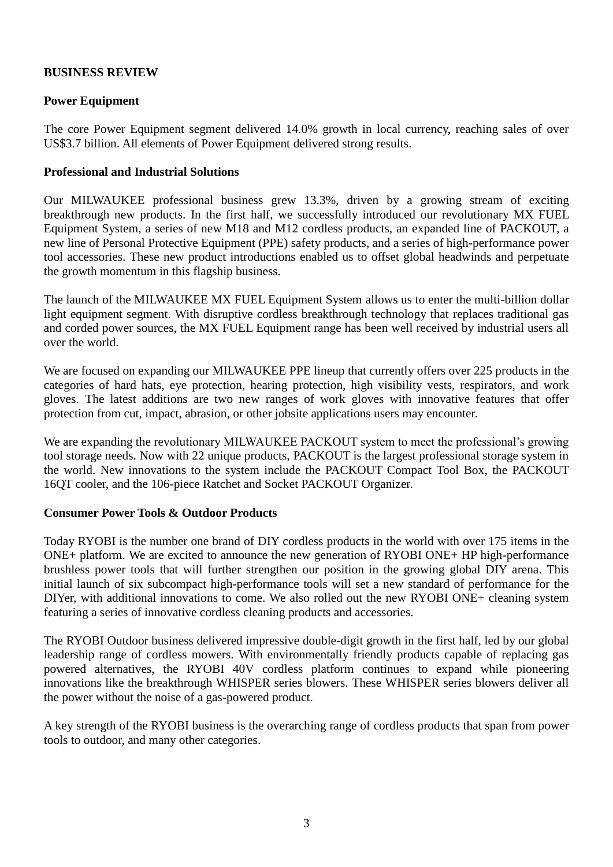# **BUSINESS REVIEW**

# **Power Equipment**

The core Power Equipment segment delivered 14.0% growth in local currency, reaching sales of over US\$3.7 billion. All elements of Power Equipment delivered strong results.

### **Professional and Industrial Solutions**

Our MILWAUKEE professional business grew 13.3%, driven by a growing stream of exciting breakthrough new products. In the first half, we successfully introduced our revolutionary MX FUEL Equipment System, a series of new M18 and M12 cordless products, an expanded line of PACKOUT, a new line of Personal Protective Equipment (PPE) safety products, and a series of high-performance power tool accessories. These new product introductions enabled us to offset global headwinds and perpetuate the growth momentum in this flagship business.

The launch of the MILWAUKEE MX FUEL Equipment System allows us to enter the multi-billion dollar light equipment segment. With disruptive cordless breakthrough technology that replaces traditional gas and corded power sources, the MX FUEL Equipment range has been well received by industrial users all over the world.

We are focused on expanding our MILWAUKEE PPE lineup that currently offers over 225 products in the categories of hard hats, eye protection, hearing protection, high visibility vests, respirators, and work gloves. The latest additions are two new ranges of work gloves with innovative features that offer protection from cut, impact, abrasion, or other jobsite applications users may encounter.

We are expanding the revolutionary MILWAUKEE PACKOUT system to meet the professional's growing tool storage needs. Now with 22 unique products, PACKOUT is the largest professional storage system in the world. New innovations to the system include the PACKOUT Compact Tool Box, the PACKOUT 16QT cooler, and the 106-piece Ratchet and Socket PACKOUT Organizer.

### **Consumer Power Tools & Outdoor Products**

Today RYOBI is the number one brand of DIY cordless products in the world with over 175 items in the ONE+ platform. We are excited to announce the new generation of RYOBI ONE+ HP high-performance brushless power tools that will further strengthen our position in the growing global DIY arena. This initial launch of six subcompact high-performance tools will set a new standard of performance for the DIYer, with additional innovations to come. We also rolled out the new RYOBI ONE+ cleaning system featuring a series of innovative cordless cleaning products and accessories.

The RYOBI Outdoor business delivered impressive double-digit growth in the first half, led by our global leadership range of cordless mowers. With environmentally friendly products capable of replacing gas powered alternatives, the RYOBI 40V cordless platform continues to expand while pioneering innovations like the breakthrough WHISPER series blowers. These WHISPER series blowers deliver all the power without the noise of a gas-powered product.

A key strength of the RYOBI business is the overarching range of cordless products that span from power tools to outdoor, and many other categories.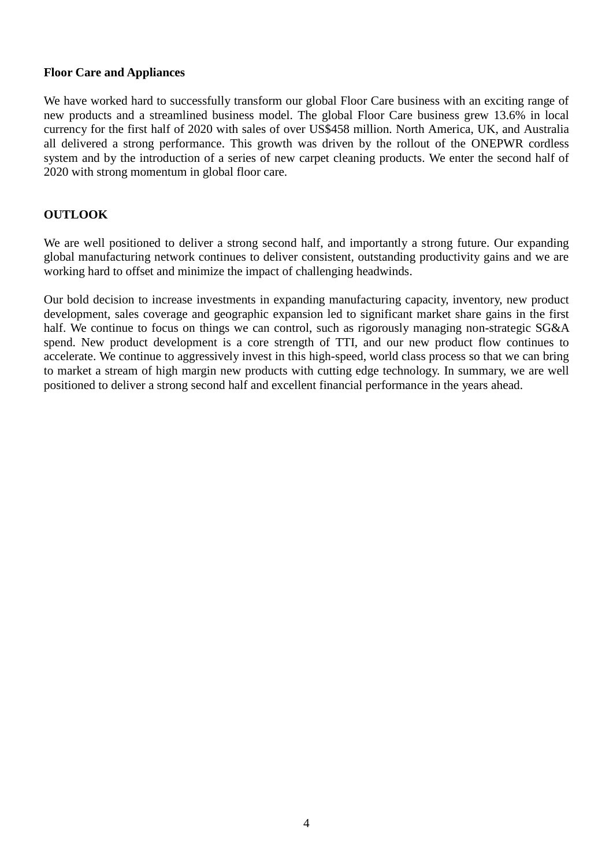# **Floor Care and Appliances**

We have worked hard to successfully transform our global Floor Care business with an exciting range of new products and a streamlined business model. The global Floor Care business grew 13.6% in local currency for the first half of 2020 with sales of over US\$458 million. North America, UK, and Australia all delivered a strong performance. This growth was driven by the rollout of the ONEPWR cordless system and by the introduction of a series of new carpet cleaning products. We enter the second half of 2020 with strong momentum in global floor care.

## **OUTLOOK**

We are well positioned to deliver a strong second half, and importantly a strong future. Our expanding global manufacturing network continues to deliver consistent, outstanding productivity gains and we are working hard to offset and minimize the impact of challenging headwinds.

Our bold decision to increase investments in expanding manufacturing capacity, inventory, new product development, sales coverage and geographic expansion led to significant market share gains in the first half. We continue to focus on things we can control, such as rigorously managing non-strategic SG&A spend. New product development is a core strength of TTI, and our new product flow continues to accelerate. We continue to aggressively invest in this high-speed, world class process so that we can bring to market a stream of high margin new products with cutting edge technology. In summary, we are well positioned to deliver a strong second half and excellent financial performance in the years ahead.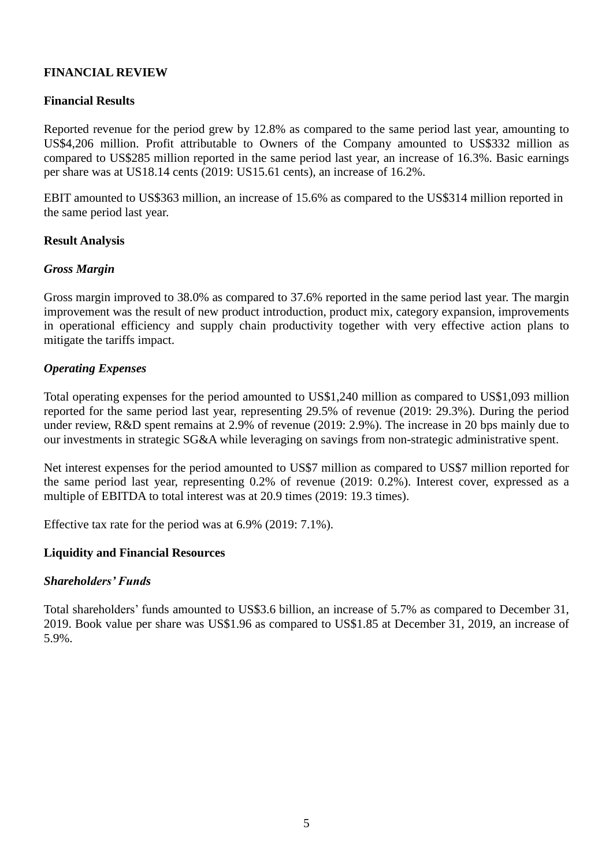# **FINANCIAL REVIEW**

## **Financial Results**

Reported revenue for the period grew by 12.8% as compared to the same period last year, amounting to US\$4,206 million. Profit attributable to Owners of the Company amounted to US\$332 million as compared to US\$285 million reported in the same period last year, an increase of 16.3%. Basic earnings per share was at US18.14 cents (2019: US15.61 cents), an increase of 16.2%.

EBIT amounted to US\$363 million, an increase of 15.6% as compared to the US\$314 million reported in the same period last year.

### **Result Analysis**

### *Gross Margin*

Gross margin improved to 38.0% as compared to 37.6% reported in the same period last year. The margin improvement was the result of new product introduction, product mix, category expansion, improvements in operational efficiency and supply chain productivity together with very effective action plans to mitigate the tariffs impact.

### *Operating Expenses*

Total operating expenses for the period amounted to US\$1,240 million as compared to US\$1,093 million reported for the same period last year, representing 29.5% of revenue (2019: 29.3%). During the period under review, R&D spent remains at 2.9% of revenue (2019: 2.9%). The increase in 20 bps mainly due to our investments in strategic SG&A while leveraging on savings from non-strategic administrative spent.

Net interest expenses for the period amounted to US\$7 million as compared to US\$7 million reported for the same period last year, representing 0.2% of revenue (2019: 0.2%). Interest cover, expressed as a multiple of EBITDA to total interest was at 20.9 times (2019: 19.3 times).

Effective tax rate for the period was at 6.9% (2019: 7.1%).

### **Liquidity and Financial Resources**

### *Shareholders' Funds*

Total shareholders' funds amounted to US\$3.6 billion, an increase of 5.7% as compared to December 31, 2019. Book value per share was US\$1.96 as compared to US\$1.85 at December 31, 2019, an increase of 5.9%.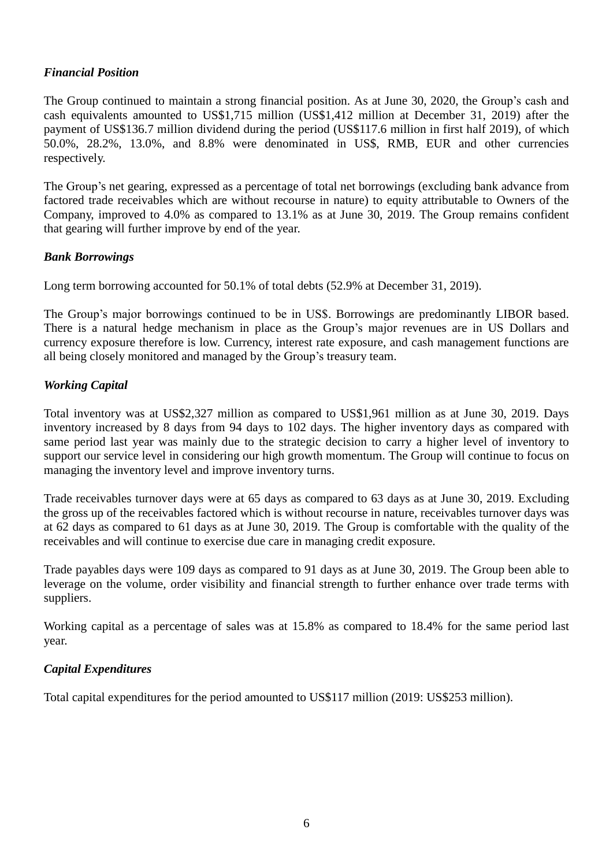# *Financial Position*

The Group continued to maintain a strong financial position. As at June 30, 2020, the Group's cash and cash equivalents amounted to US\$1,715 million (US\$1,412 million at December 31, 2019) after the payment of US\$136.7 million dividend during the period (US\$117.6 million in first half 2019), of which 50.0%, 28.2%, 13.0%, and 8.8% were denominated in US\$, RMB, EUR and other currencies respectively.

The Group's net gearing, expressed as a percentage of total net borrowings (excluding bank advance from factored trade receivables which are without recourse in nature) to equity attributable to Owners of the Company, improved to 4.0% as compared to 13.1% as at June 30, 2019. The Group remains confident that gearing will further improve by end of the year.

# *Bank Borrowings*

Long term borrowing accounted for 50.1% of total debts (52.9% at December 31, 2019).

The Group's major borrowings continued to be in US\$. Borrowings are predominantly LIBOR based. There is a natural hedge mechanism in place as the Group's major revenues are in US Dollars and currency exposure therefore is low. Currency, interest rate exposure, and cash management functions are all being closely monitored and managed by the Group's treasury team.

# *Working Capital*

Total inventory was at US\$2,327 million as compared to US\$1,961 million as at June 30, 2019. Days inventory increased by 8 days from 94 days to 102 days. The higher inventory days as compared with same period last year was mainly due to the strategic decision to carry a higher level of inventory to support our service level in considering our high growth momentum. The Group will continue to focus on managing the inventory level and improve inventory turns.

Trade receivables turnover days were at 65 days as compared to 63 days as at June 30, 2019. Excluding the gross up of the receivables factored which is without recourse in nature, receivables turnover days was at 62 days as compared to 61 days as at June 30, 2019. The Group is comfortable with the quality of the receivables and will continue to exercise due care in managing credit exposure.

Trade payables days were 109 days as compared to 91 days as at June 30, 2019. The Group been able to leverage on the volume, order visibility and financial strength to further enhance over trade terms with suppliers.

Working capital as a percentage of sales was at 15.8% as compared to 18.4% for the same period last year.

# *Capital Expenditures*

Total capital expenditures for the period amounted to US\$117 million (2019: US\$253 million).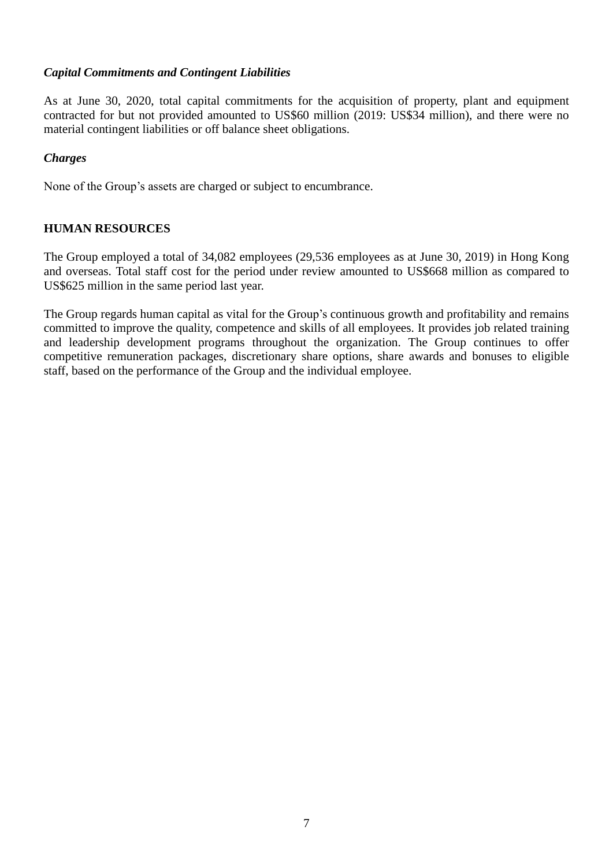# *Capital Commitments and Contingent Liabilities*

As at June 30, 2020, total capital commitments for the acquisition of property, plant and equipment contracted for but not provided amounted to US\$60 million (2019: US\$34 million), and there were no material contingent liabilities or off balance sheet obligations.

# *Charges*

None of the Group's assets are charged or subject to encumbrance.

# **HUMAN RESOURCES**

The Group employed a total of 34,082 employees (29,536 employees as at June 30, 2019) in Hong Kong and overseas. Total staff cost for the period under review amounted to US\$668 million as compared to US\$625 million in the same period last year.

The Group regards human capital as vital for the Group's continuous growth and profitability and remains committed to improve the quality, competence and skills of all employees. It provides job related training and leadership development programs throughout the organization. The Group continues to offer competitive remuneration packages, discretionary share options, share awards and bonuses to eligible staff, based on the performance of the Group and the individual employee.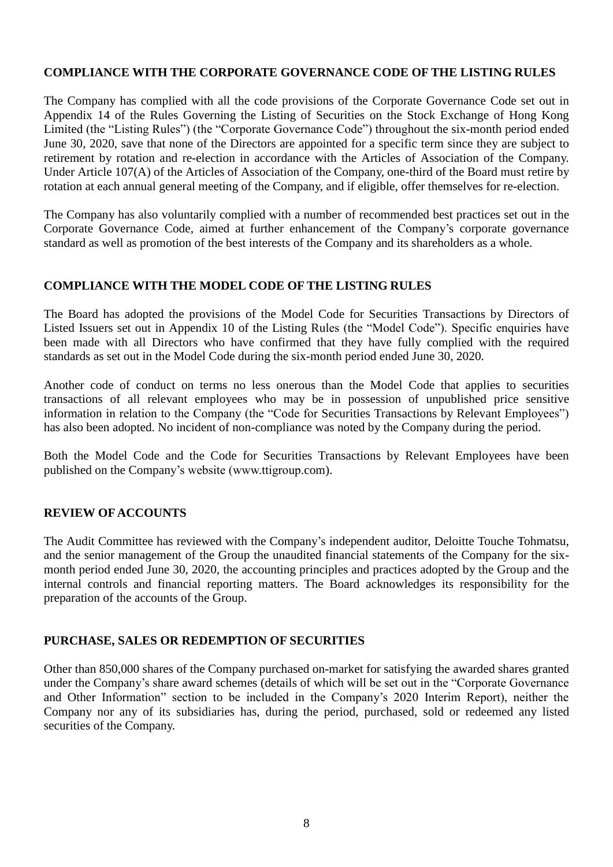# **COMPLIANCE WITH THE CORPORATE GOVERNANCE CODE OF THE LISTING RULES**

The Company has complied with all the code provisions of the Corporate Governance Code set out in Appendix 14 of the Rules Governing the Listing of Securities on the Stock Exchange of Hong Kong Limited (the "Listing Rules") (the "Corporate Governance Code") throughout the six-month period ended June 30, 2020, save that none of the Directors are appointed for a specific term since they are subject to retirement by rotation and re-election in accordance with the Articles of Association of the Company. Under Article 107(A) of the Articles of Association of the Company, one-third of the Board must retire by rotation at each annual general meeting of the Company, and if eligible, offer themselves for re-election.

The Company has also voluntarily complied with a number of recommended best practices set out in the Corporate Governance Code, aimed at further enhancement of the Company's corporate governance standard as well as promotion of the best interests of the Company and its shareholders as a whole.

## **COMPLIANCE WITH THE MODEL CODE OF THE LISTING RULES**

The Board has adopted the provisions of the Model Code for Securities Transactions by Directors of Listed Issuers set out in Appendix 10 of the Listing Rules (the "Model Code"). Specific enquiries have been made with all Directors who have confirmed that they have fully complied with the required standards as set out in the Model Code during the six-month period ended June 30, 2020.

Another code of conduct on terms no less onerous than the Model Code that applies to securities transactions of all relevant employees who may be in possession of unpublished price sensitive information in relation to the Company (the "Code for Securities Transactions by Relevant Employees") has also been adopted. No incident of non-compliance was noted by the Company during the period.

Both the Model Code and the Code for Securities Transactions by Relevant Employees have been published on the Company's website (www.ttigroup.com).

### **REVIEW OF ACCOUNTS**

The Audit Committee has reviewed with the Company's independent auditor, Deloitte Touche Tohmatsu, and the senior management of the Group the unaudited financial statements of the Company for the sixmonth period ended June 30, 2020, the accounting principles and practices adopted by the Group and the internal controls and financial reporting matters. The Board acknowledges its responsibility for the preparation of the accounts of the Group.

# **PURCHASE, SALES OR REDEMPTION OF SECURITIES**

Other than 850,000 shares of the Company purchased on-market for satisfying the awarded shares granted under the Company's share award schemes (details of which will be set out in the "Corporate Governance and Other Information" section to be included in the Company's 2020 Interim Report), neither the Company nor any of its subsidiaries has, during the period, purchased, sold or redeemed any listed securities of the Company.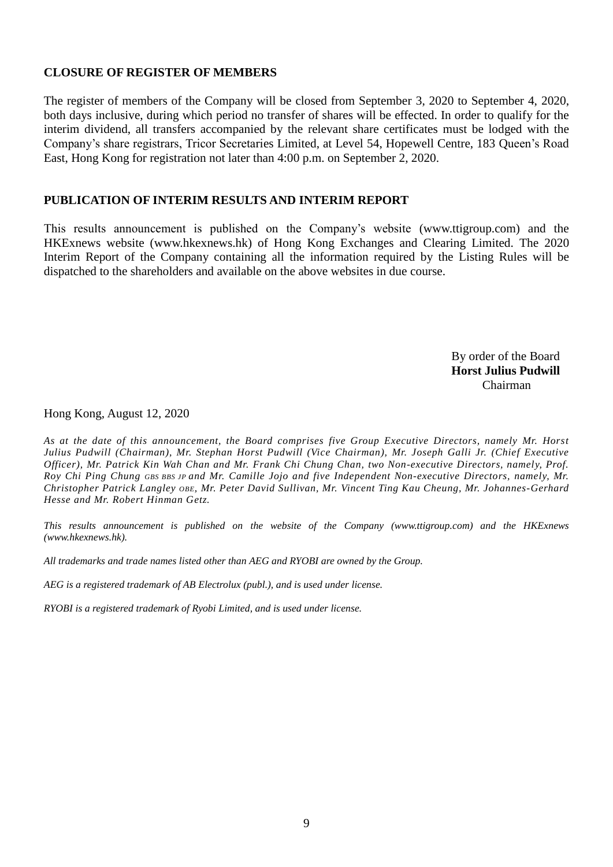# **CLOSURE OF REGISTER OF MEMBERS**

The register of members of the Company will be closed from September 3, 2020 to September 4, 2020, both days inclusive, during which period no transfer of shares will be effected. In order to qualify for the interim dividend, all transfers accompanied by the relevant share certificates must be lodged with the Company's share registrars, Tricor Secretaries Limited, at Level 54, Hopewell Centre, 183 Queen's Road East, Hong Kong for registration not later than 4:00 p.m. on September 2, 2020.

### **PUBLICATION OF INTERIM RESULTS AND INTERIM REPORT**

This results announcement is published on the Company's website (www.ttigroup.com) and the HKExnews website (www.hkexnews.hk) of Hong Kong Exchanges and Clearing Limited. The 2020 Interim Report of the Company containing all the information required by the Listing Rules will be dispatched to the shareholders and available on the above websites in due course.

> By order of the Board **Horst Julius Pudwill** Chairman

Hong Kong, August 12, 2020

*As at the date of this announcement, the Board comprises five Group Executive Directors, namely Mr. Horst Julius Pudwill (Chairman), Mr. Stephan Horst Pudwill (Vice Chairman), Mr. Joseph Galli Jr. (Chief Executive Officer), Mr. Patrick Kin Wah Chan and Mr. Frank Chi Chung Chan, two Non-executive Directors, namely, Prof. Roy Chi Ping Chung GBS BBS JP and Mr. Camille Jojo and five Independent Non-executive Directors, namely, Mr. Christopher Patrick Langley OBE, Mr. Peter David Sullivan, Mr. Vincent Ting Kau Cheung, Mr. Johannes-Gerhard Hesse and Mr. Robert Hinman Getz.*

*This results announcement is published on the website of the Company (www.ttigroup.com) and the HKExnews (www.hkexnews.hk).*

*All trademarks and trade names listed other than AEG and RYOBI are owned by the Group.*

*AEG is a registered trademark of AB Electrolux (publ.), and is used under license.*

*RYOBI is a registered trademark of Ryobi Limited, and is used under license.*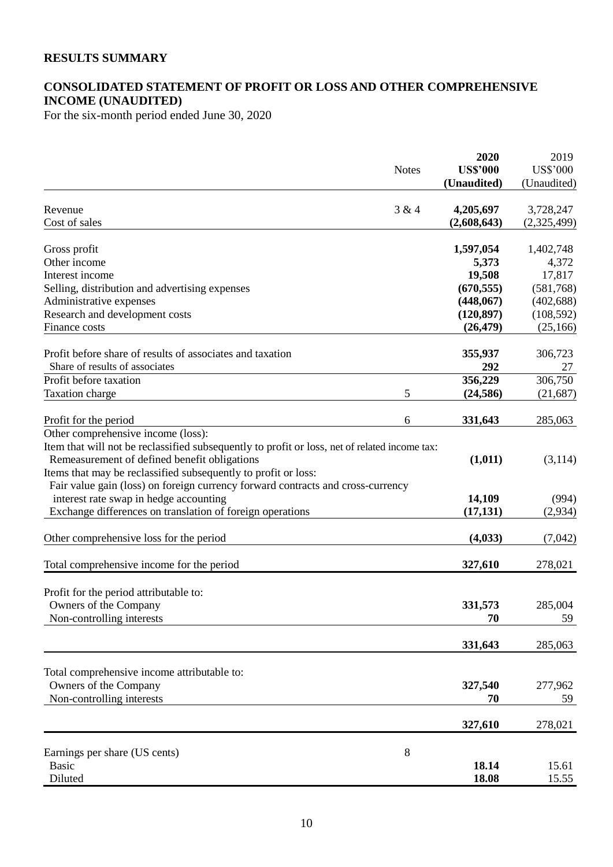# **RESULTS SUMMARY**

# **CONSOLIDATED STATEMENT OF PROFIT OR LOSS AND OTHER COMPREHENSIVE INCOME (UNAUDITED)**

For the six-month period ended June 30, 2020

|                                                                                               |              | 2020            | 2019            |
|-----------------------------------------------------------------------------------------------|--------------|-----------------|-----------------|
|                                                                                               | <b>Notes</b> | <b>US\$'000</b> | <b>US\$'000</b> |
|                                                                                               |              | (Unaudited)     | (Unaudited)     |
|                                                                                               |              |                 |                 |
| Revenue                                                                                       | 3 & 4        | 4,205,697       | 3,728,247       |
| Cost of sales                                                                                 |              | (2,608,643)     | (2,325,499)     |
| Gross profit                                                                                  |              | 1,597,054       | 1,402,748       |
| Other income                                                                                  |              | 5,373           | 4,372           |
| Interest income                                                                               |              | 19,508          | 17,817          |
| Selling, distribution and advertising expenses                                                |              | (670, 555)      | (581,768)       |
| Administrative expenses                                                                       |              | (448,067)       | (402, 688)      |
| Research and development costs                                                                |              | (120, 897)      | (108, 592)      |
| Finance costs                                                                                 |              | (26, 479)       | (25, 166)       |
|                                                                                               |              |                 |                 |
| Profit before share of results of associates and taxation                                     |              | 355,937         | 306,723         |
| Share of results of associates                                                                |              | 292             | 27              |
| Profit before taxation                                                                        |              | 356,229         | 306,750         |
| Taxation charge                                                                               | 5            | (24, 586)       | (21, 687)       |
| Profit for the period                                                                         | 6            | 331,643         | 285,063         |
| Other comprehensive income (loss):                                                            |              |                 |                 |
| Item that will not be reclassified subsequently to profit or loss, net of related income tax: |              |                 |                 |
| Remeasurement of defined benefit obligations                                                  |              | (1,011)         | (3,114)         |
| Items that may be reclassified subsequently to profit or loss:                                |              |                 |                 |
| Fair value gain (loss) on foreign currency forward contracts and cross-currency               |              |                 |                 |
| interest rate swap in hedge accounting                                                        |              | 14,109          | (994)           |
| Exchange differences on translation of foreign operations                                     |              | (17, 131)       | (2,934)         |
|                                                                                               |              |                 |                 |
| Other comprehensive loss for the period                                                       |              | (4, 033)        | (7,042)         |
|                                                                                               |              |                 |                 |
| Total comprehensive income for the period                                                     |              | 327,610         | 278,021         |
|                                                                                               |              |                 |                 |
| Profit for the period attributable to:                                                        |              |                 |                 |
| Owners of the Company<br>Non-controlling interests                                            |              | 331,573<br>70   | 285,004<br>59   |
|                                                                                               |              |                 |                 |
|                                                                                               |              | 331,643         | 285,063         |
|                                                                                               |              |                 |                 |
| Total comprehensive income attributable to:                                                   |              |                 |                 |
| Owners of the Company                                                                         |              | 327,540         | 277,962         |
| Non-controlling interests                                                                     |              | 70              | 59              |
|                                                                                               |              | 327,610         | 278,021         |
|                                                                                               |              |                 |                 |
| Earnings per share (US cents)                                                                 | 8            |                 |                 |
| <b>Basic</b>                                                                                  |              | 18.14           | 15.61           |
| Diluted                                                                                       |              | 18.08           | 15.55           |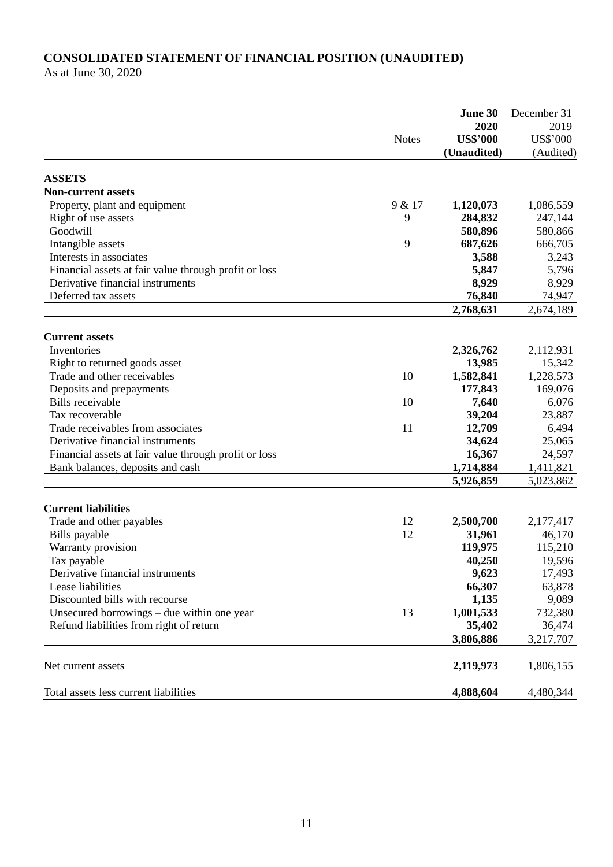# **CONSOLIDATED STATEMENT OF FINANCIAL POSITION (UNAUDITED)**

As at June 30, 2020

|                                                       |              | June 30         | December 31     |
|-------------------------------------------------------|--------------|-----------------|-----------------|
|                                                       |              | 2020            | 2019            |
|                                                       | <b>Notes</b> | <b>US\$'000</b> | <b>US\$'000</b> |
|                                                       |              | (Unaudited)     | (Audited)       |
| <b>ASSETS</b>                                         |              |                 |                 |
| <b>Non-current assets</b>                             |              |                 |                 |
| Property, plant and equipment                         | 9 & 17       | 1,120,073       | 1,086,559       |
| Right of use assets                                   | 9            | 284,832         | 247,144         |
| Goodwill                                              |              | 580,896         | 580,866         |
| Intangible assets                                     | 9            | 687,626         | 666,705         |
| Interests in associates                               |              | 3,588           | 3,243           |
| Financial assets at fair value through profit or loss |              | 5,847           | 5,796           |
| Derivative financial instruments                      |              | 8,929           | 8,929           |
| Deferred tax assets                                   |              | 76,840          | 74,947          |
|                                                       |              | 2,768,631       | 2,674,189       |
|                                                       |              |                 |                 |
| <b>Current assets</b>                                 |              |                 |                 |
| Inventories                                           |              | 2,326,762       | 2,112,931       |
| Right to returned goods asset                         |              | 13,985          | 15,342          |
| Trade and other receivables                           | 10           | 1,582,841       | 1,228,573       |
| Deposits and prepayments                              |              | 177,843         | 169,076         |
| <b>Bills</b> receivable                               | 10           | 7,640           | 6,076           |
| Tax recoverable                                       |              | 39,204          | 23,887          |
| Trade receivables from associates                     | 11           | 12,709          | 6,494           |
| Derivative financial instruments                      |              | 34,624          | 25,065          |
| Financial assets at fair value through profit or loss |              | 16,367          | 24,597          |
| Bank balances, deposits and cash                      |              | 1,714,884       | 1,411,821       |
|                                                       |              | 5,926,859       | 5,023,862       |
| <b>Current liabilities</b>                            |              |                 |                 |
| Trade and other payables                              | 12           | 2,500,700       | 2,177,417       |
| Bills payable                                         | 12           | 31,961          | 46,170          |
| Warranty provision                                    |              | 119,975         | 115,210         |
| Tax payable                                           |              | 40,250          | 19,596          |
| Derivative financial instruments                      |              | 9,623           | 17,493          |
| Lease liabilities                                     |              | 66,307          | 63,878          |
| Discounted bills with recourse                        |              | 1,135           | 9,089           |
| Unsecured borrowings $-$ due within one year          | 13           | 1,001,533       | 732,380         |
| Refund liabilities from right of return               |              | 35,402          |                 |
|                                                       |              |                 | 36,474          |
|                                                       |              | 3,806,886       | 3,217,707       |
| Net current assets                                    |              | 2,119,973       | 1,806,155       |
|                                                       |              | 4,888,604       |                 |
| Total assets less current liabilities                 |              |                 | 4,480,344       |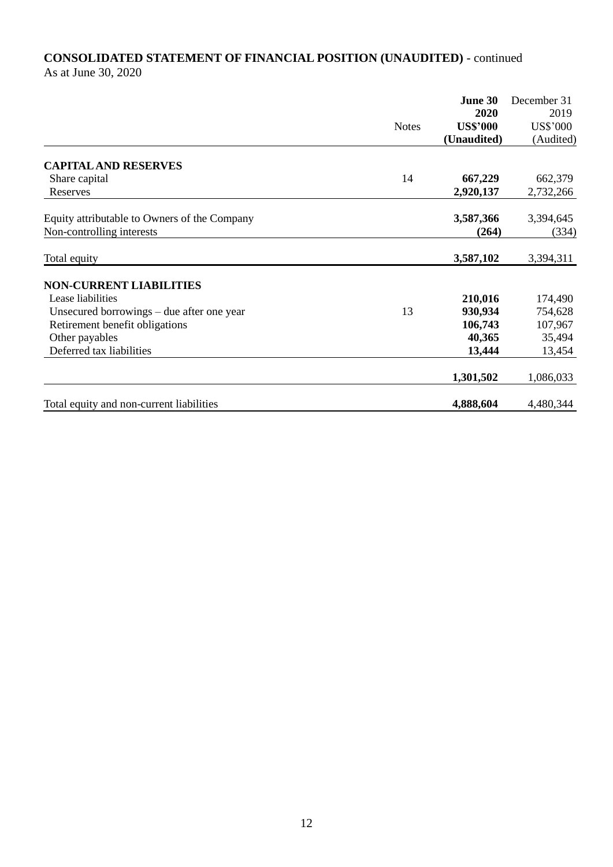# **CONSOLIDATED STATEMENT OF FINANCIAL POSITION (UNAUDITED)** - continued As at June 30, 2020

|                                              |              | June 30         | December 31     |
|----------------------------------------------|--------------|-----------------|-----------------|
|                                              |              | 2020            | 2019            |
|                                              | <b>Notes</b> | <b>US\$'000</b> | <b>US\$'000</b> |
|                                              |              | (Unaudited)     | (Audited)       |
| <b>CAPITAL AND RESERVES</b>                  |              |                 |                 |
| Share capital                                | 14           | 667,229         | 662,379         |
| Reserves                                     |              | 2,920,137       | 2,732,266       |
| Equity attributable to Owners of the Company |              | 3,587,366       | 3,394,645       |
| Non-controlling interests                    |              | (264)           | (334)           |
| Total equity                                 |              | 3,587,102       | 3,394,311       |
| <b>NON-CURRENT LIABILITIES</b>               |              |                 |                 |
| Lease liabilities                            |              | 210,016         | 174,490         |
| Unsecured borrowings $-$ due after one year  | 13           | 930,934         | 754,628         |
| Retirement benefit obligations               |              | 106,743         | 107,967         |
| Other payables                               |              | 40,365          | 35,494          |
| Deferred tax liabilities                     |              | 13,444          | 13,454          |
|                                              |              | 1,301,502       | 1,086,033       |
| Total equity and non-current liabilities     |              | 4,888,604       | 4,480,344       |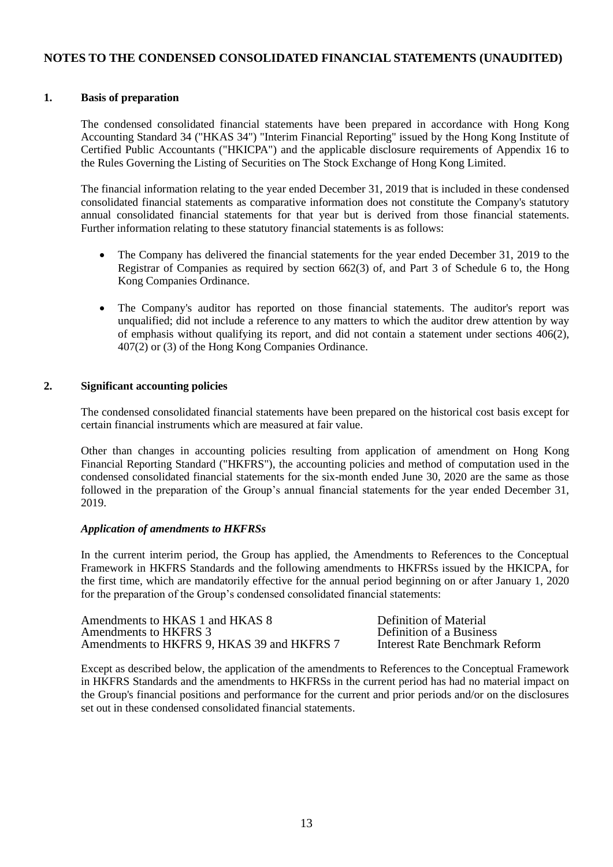### **NOTES TO THE CONDENSED CONSOLIDATED FINANCIAL STATEMENTS (UNAUDITED)**

### **1. Basis of preparation**

The condensed consolidated financial statements have been prepared in accordance with Hong Kong Accounting Standard 34 ("HKAS 34") "Interim Financial Reporting" issued by the Hong Kong Institute of Certified Public Accountants ("HKICPA") and the applicable disclosure requirements of Appendix 16 to the Rules Governing the Listing of Securities on The Stock Exchange of Hong Kong Limited.

The financial information relating to the year ended December 31, 2019 that is included in these condensed consolidated financial statements as comparative information does not constitute the Company's statutory annual consolidated financial statements for that year but is derived from those financial statements. Further information relating to these statutory financial statements is as follows:

- The Company has delivered the financial statements for the year ended December 31, 2019 to the Registrar of Companies as required by section 662(3) of, and Part 3 of Schedule 6 to, the Hong Kong Companies Ordinance.
- The Company's auditor has reported on those financial statements. The auditor's report was unqualified; did not include a reference to any matters to which the auditor drew attention by way of emphasis without qualifying its report, and did not contain a statement under sections 406(2), 407(2) or (3) of the Hong Kong Companies Ordinance.

#### **2. Significant accounting policies**

The condensed consolidated financial statements have been prepared on the historical cost basis except for certain financial instruments which are measured at fair value.

Other than changes in accounting policies resulting from application of amendment on Hong Kong Financial Reporting Standard ("HKFRS"), the accounting policies and method of computation used in the condensed consolidated financial statements for the six-month ended June 30, 2020 are the same as those followed in the preparation of the Group's annual financial statements for the year ended December 31, 2019.

### *Application of amendments to HKFRSs*

In the current interim period, the Group has applied, the Amendments to References to the Conceptual Framework in HKFRS Standards and the following amendments to HKFRSs issued by the HKICPA, for the first time, which are mandatorily effective for the annual period beginning on or after January 1, 2020 for the preparation of the Group's condensed consolidated financial statements:

| Amendments to HKAS 1 and HKAS 8            |
|--------------------------------------------|
| Amendments to HKFRS 3                      |
| Amendments to HKFRS 9, HKAS 39 and HKFRS 7 |

Definition of Material Definition of a Business **Interest Rate Benchmark Reform** 

Except as described below, the application of the amendments to References to the Conceptual Framework in HKFRS Standards and the amendments to HKFRSs in the current period has had no material impact on the Group's financial positions and performance for the current and prior periods and/or on the disclosures set out in these condensed consolidated financial statements.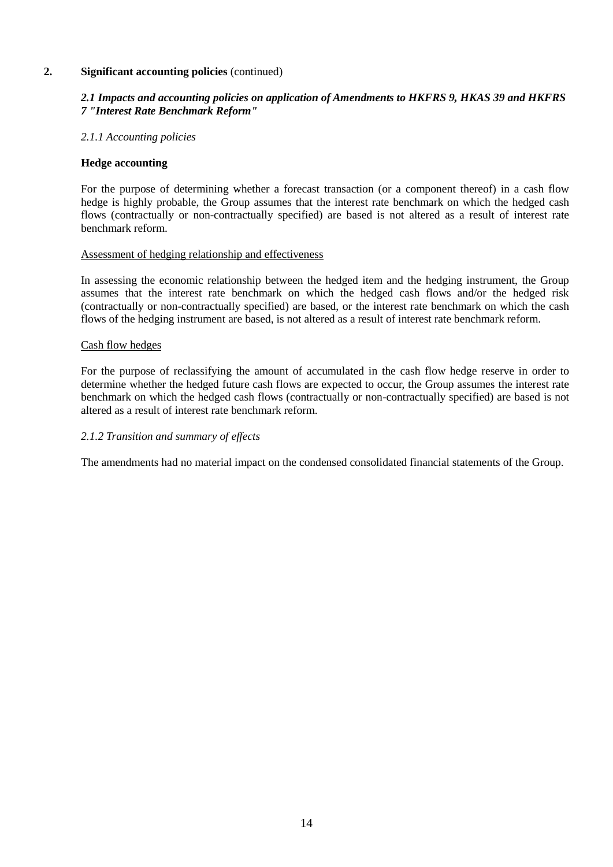### **2. Significant accounting policies** (continued)

### *2.1 Impacts and accounting policies on application of Amendments to HKFRS 9, HKAS 39 and HKFRS 7 "Interest Rate Benchmark Reform"*

### *2.1.1 Accounting policies*

### **Hedge accounting**

For the purpose of determining whether a forecast transaction (or a component thereof) in a cash flow hedge is highly probable, the Group assumes that the interest rate benchmark on which the hedged cash flows (contractually or non-contractually specified) are based is not altered as a result of interest rate benchmark reform.

### Assessment of hedging relationship and effectiveness

In assessing the economic relationship between the hedged item and the hedging instrument, the Group assumes that the interest rate benchmark on which the hedged cash flows and/or the hedged risk (contractually or non-contractually specified) are based, or the interest rate benchmark on which the cash flows of the hedging instrument are based, is not altered as a result of interest rate benchmark reform.

### Cash flow hedges

For the purpose of reclassifying the amount of accumulated in the cash flow hedge reserve in order to determine whether the hedged future cash flows are expected to occur, the Group assumes the interest rate benchmark on which the hedged cash flows (contractually or non-contractually specified) are based is not altered as a result of interest rate benchmark reform.

### *2.1.2 Transition and summary of effects*

The amendments had no material impact on the condensed consolidated financial statements of the Group.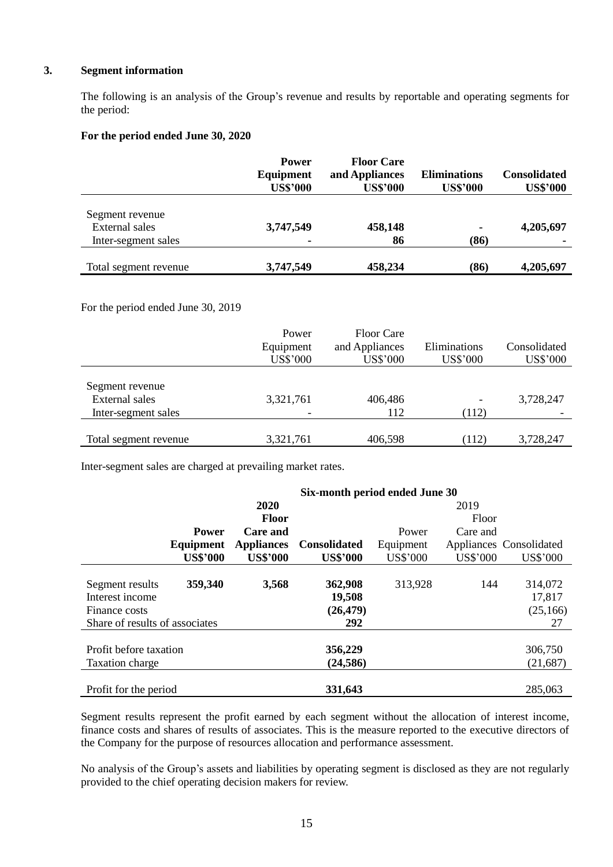### **3. Segment information**

The following is an analysis of the Group's revenue and results by reportable and operating segments for the period:

### **For the period ended June 30, 2020**

|                                                                 | <b>Power</b><br>Equipment<br><b>US\$'000</b> | <b>Floor Care</b><br>and Appliances<br><b>US\$'000</b> | <b>Eliminations</b><br><b>US\$'000</b> | <b>Consolidated</b><br><b>US\$'000</b> |
|-----------------------------------------------------------------|----------------------------------------------|--------------------------------------------------------|----------------------------------------|----------------------------------------|
| Segment revenue<br><b>External sales</b><br>Inter-segment sales | 3,747,549                                    | 458,148<br>86                                          | ۰.<br>(86)                             | 4,205,697                              |
| Total segment revenue                                           | 3,747,549                                    | 458,234                                                | (86)                                   | 4,205,697                              |

### For the period ended June 30, 2019

|                                                                 | Power<br>Equipment<br><b>US\$'000</b> | <b>Floor Care</b><br>and Appliances<br><b>US\$'000</b> | Eliminations<br><b>US\$'000</b> | Consolidated<br><b>US\$'000</b> |
|-----------------------------------------------------------------|---------------------------------------|--------------------------------------------------------|---------------------------------|---------------------------------|
| Segment revenue<br><b>External sales</b><br>Inter-segment sales | 3,321,761                             | 406,486<br>112                                         | (112)                           | 3,728,247                       |
| Total segment revenue                                           | 3,321,761                             | 406,598                                                | (112)                           | 3,728,247                       |

Inter-segment sales are charged at prevailing market rates.

|                                | Six-month period ended June 30 |                   |                     |           |                 |                         |
|--------------------------------|--------------------------------|-------------------|---------------------|-----------|-----------------|-------------------------|
|                                |                                | 2020              |                     |           | 2019            |                         |
|                                |                                | <b>Floor</b>      |                     |           | Floor           |                         |
|                                | <b>Power</b>                   | <b>Care and</b>   |                     | Power     | Care and        |                         |
|                                | Equipment                      | <b>Appliances</b> | <b>Consolidated</b> | Equipment |                 | Appliances Consolidated |
|                                | <b>US\$'000</b>                | <b>US\$'000</b>   | <b>US\$'000</b>     | US\$'000  | <b>US\$'000</b> | <b>US\$'000</b>         |
|                                |                                |                   |                     |           |                 |                         |
| Segment results                | 359,340                        | 3,568             | 362,908             | 313,928   | 144             | 314,072                 |
| Interest income                |                                |                   | 19,508              |           |                 | 17,817                  |
| Finance costs                  |                                |                   | (26, 479)           |           |                 | (25, 166)               |
| Share of results of associates |                                |                   | 292                 |           |                 | 27                      |
|                                |                                |                   |                     |           |                 |                         |
| Profit before taxation         |                                |                   | 356,229             |           |                 | 306,750                 |
| <b>Taxation charge</b>         |                                |                   | (24, 586)           |           |                 | (21,687)                |
|                                |                                |                   |                     |           |                 |                         |
| Profit for the period          |                                |                   | 331,643             |           |                 | 285,063                 |

Segment results represent the profit earned by each segment without the allocation of interest income, finance costs and shares of results of associates. This is the measure reported to the executive directors of the Company for the purpose of resources allocation and performance assessment.

No analysis of the Group's assets and liabilities by operating segment is disclosed as they are not regularly provided to the chief operating decision makers for review.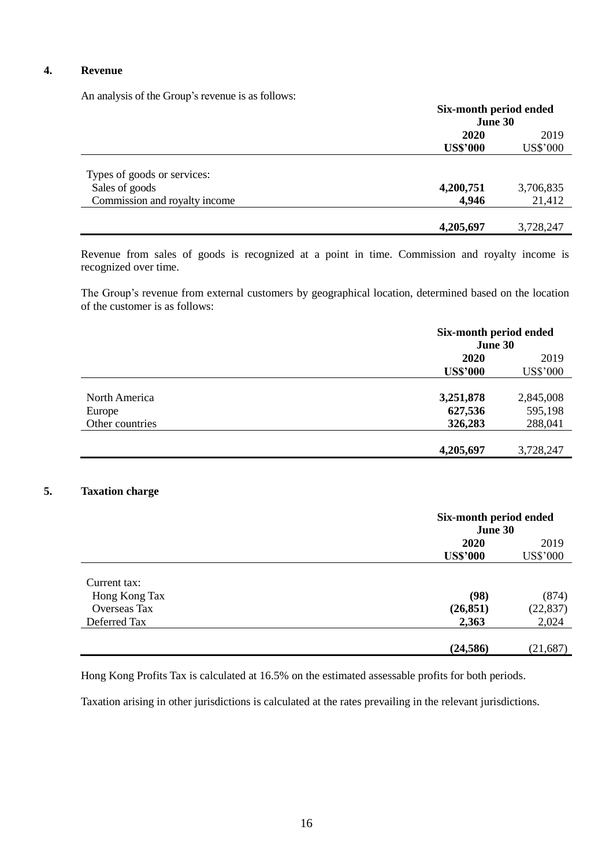### **4. Revenue**

An analysis of the Group's revenue is as follows:

|                                                                                | Six-month period ended<br>June 30 |                     |  |
|--------------------------------------------------------------------------------|-----------------------------------|---------------------|--|
|                                                                                | 2020                              | 2019                |  |
|                                                                                | <b>US\$'000</b>                   | <b>US\$'000</b>     |  |
| Types of goods or services:<br>Sales of goods<br>Commission and royalty income | 4,200,751<br>4,946                | 3,706,835<br>21,412 |  |
|                                                                                | 4,205,697                         | 3,728,247           |  |

Revenue from sales of goods is recognized at a point in time. Commission and royalty income is recognized over time.

The Group's revenue from external customers by geographical location, determined based on the location of the customer is as follows:

|                                            | Six-month period ended<br>June 30 |                                 |  |
|--------------------------------------------|-----------------------------------|---------------------------------|--|
|                                            | 2020                              | 2019<br><b>US\$'000</b>         |  |
|                                            | <b>US\$'000</b>                   |                                 |  |
| North America<br>Europe<br>Other countries | 3,251,878<br>627,536<br>326,283   | 2,845,008<br>595,198<br>288,041 |  |
|                                            | 4,205,697                         | 3,728,247                       |  |

## **5. Taxation charge**

|               | Six-month period ended<br>June 30 |                  |
|---------------|-----------------------------------|------------------|
|               | 2020                              | 2019<br>US\$'000 |
|               | <b>US\$'000</b>                   |                  |
| Current tax:  |                                   |                  |
| Hong Kong Tax | (98)                              | (874)            |
| Overseas Tax  | (26, 851)                         | (22, 837)        |
| Deferred Tax  | 2,363                             | 2,024            |
|               | (24, 586)                         | (21, 687)        |

Hong Kong Profits Tax is calculated at 16.5% on the estimated assessable profits for both periods.

Taxation arising in other jurisdictions is calculated at the rates prevailing in the relevant jurisdictions.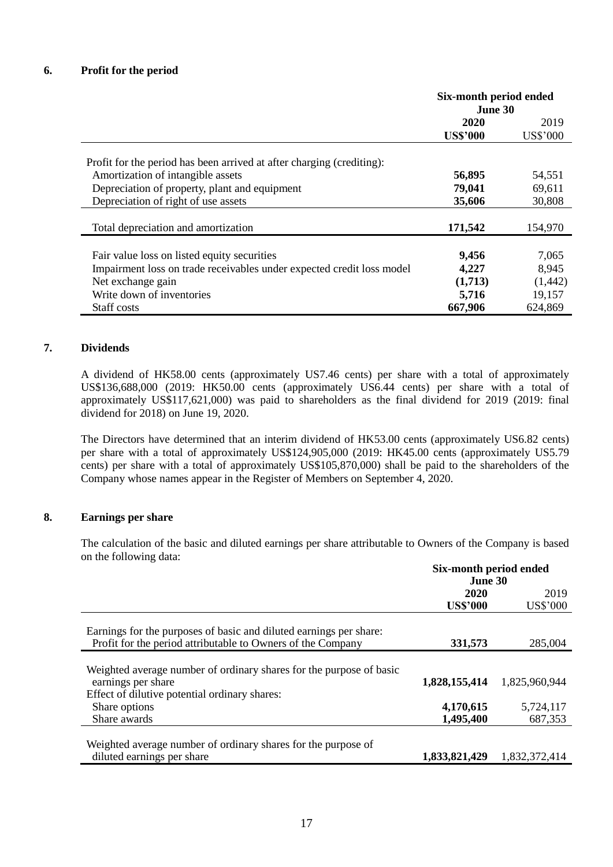|                                                                       | Six-month period ended<br>June 30 |                 |
|-----------------------------------------------------------------------|-----------------------------------|-----------------|
|                                                                       | 2020                              | 2019            |
|                                                                       | <b>US\$'000</b>                   | <b>US\$'000</b> |
| Profit for the period has been arrived at after charging (crediting): |                                   |                 |
| Amortization of intangible assets                                     | 56,895                            | 54,551          |
| Depreciation of property, plant and equipment                         | 79,041                            | 69,611          |
| Depreciation of right of use assets                                   | 35,606                            | 30,808          |
| Total depreciation and amortization                                   | 171,542                           | 154,970         |
|                                                                       |                                   |                 |
| Fair value loss on listed equity securities                           | 9,456                             | 7,065           |
| Impairment loss on trade receivables under expected credit loss model | 4,227                             | 8,945           |
| Net exchange gain                                                     | (1,713)                           | (1, 442)        |
| Write down of inventories                                             | 5,716                             | 19,157          |
| Staff costs                                                           | 667,906                           | 624,869         |

### **7. Dividends**

A dividend of HK58.00 cents (approximately US7.46 cents) per share with a total of approximately US\$136,688,000 (2019: HK50.00 cents (approximately US6.44 cents) per share with a total of approximately US\$117,621,000) was paid to shareholders as the final dividend for 2019 (2019: final dividend for 2018) on June 19, 2020.

The Directors have determined that an interim dividend of HK53.00 cents (approximately US6.82 cents) per share with a total of approximately US\$124,905,000 (2019: HK45.00 cents (approximately US5.79 cents) per share with a total of approximately US\$105,870,000) shall be paid to the shareholders of the Company whose names appear in the Register of Members on September 4, 2020.

### **8. Earnings per share**

The calculation of the basic and diluted earnings per share attributable to Owners of the Company is based on the following data:

| 2019            |
|-----------------|
| <b>US\$'000</b> |
|                 |
|                 |
| 285,004         |
|                 |
|                 |
| 1,825,960,944   |
|                 |
| 5,724,117       |
| 687,353         |
|                 |
|                 |
| 1,832,372,414   |
|                 |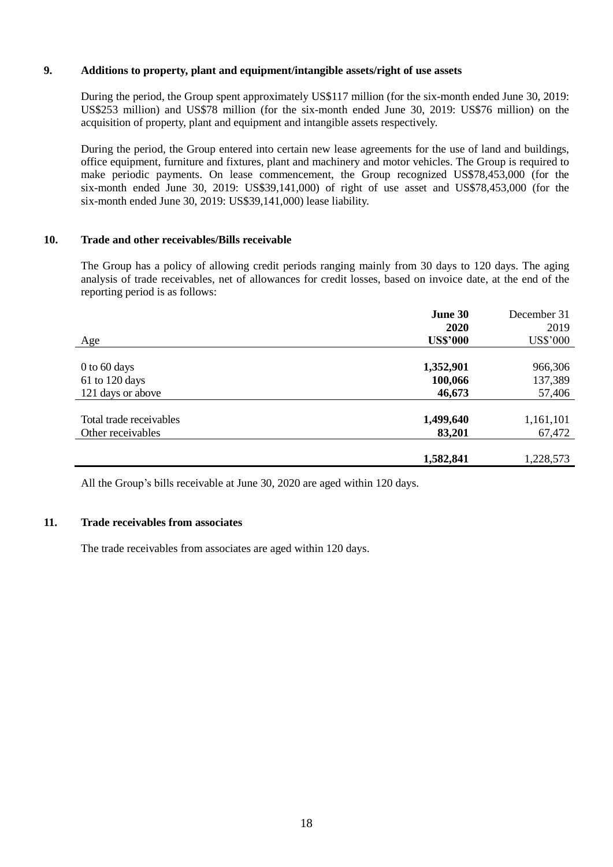### **9. Additions to property, plant and equipment/intangible assets/right of use assets**

During the period, the Group spent approximately US\$117 million (for the six-month ended June 30, 2019: US\$253 million) and US\$78 million (for the six-month ended June 30, 2019: US\$76 million) on the acquisition of property, plant and equipment and intangible assets respectively.

During the period, the Group entered into certain new lease agreements for the use of land and buildings, office equipment, furniture and fixtures, plant and machinery and motor vehicles. The Group is required to make periodic payments. On lease commencement, the Group recognized US\$78,453,000 (for the six-month ended June 30, 2019: US\$39,141,000) of right of use asset and US\$78,453,000 (for the six-month ended June 30, 2019: US\$39,141,000) lease liability.

### **10. Trade and other receivables/Bills receivable**

The Group has a policy of allowing credit periods ranging mainly from 30 days to 120 days. The aging analysis of trade receivables, net of allowances for credit losses, based on invoice date, at the end of the reporting period is as follows:

|                         | June 30         | December 31     |
|-------------------------|-----------------|-----------------|
|                         | 2020            | 2019            |
| Age                     | <b>US\$'000</b> | <b>US\$'000</b> |
|                         |                 |                 |
| $0$ to 60 days          | 1,352,901       | 966,306         |
| $61$ to 120 days        | 100,066         | 137,389         |
| 121 days or above       | 46,673          | 57,406          |
|                         |                 |                 |
| Total trade receivables | 1,499,640       | 1,161,101       |
| Other receivables       | 83,201          | 67,472          |
|                         |                 |                 |
|                         | 1,582,841       | 1,228,573       |

All the Group's bills receivable at June 30, 2020 are aged within 120 days.

### **11. Trade receivables from associates**

The trade receivables from associates are aged within 120 days.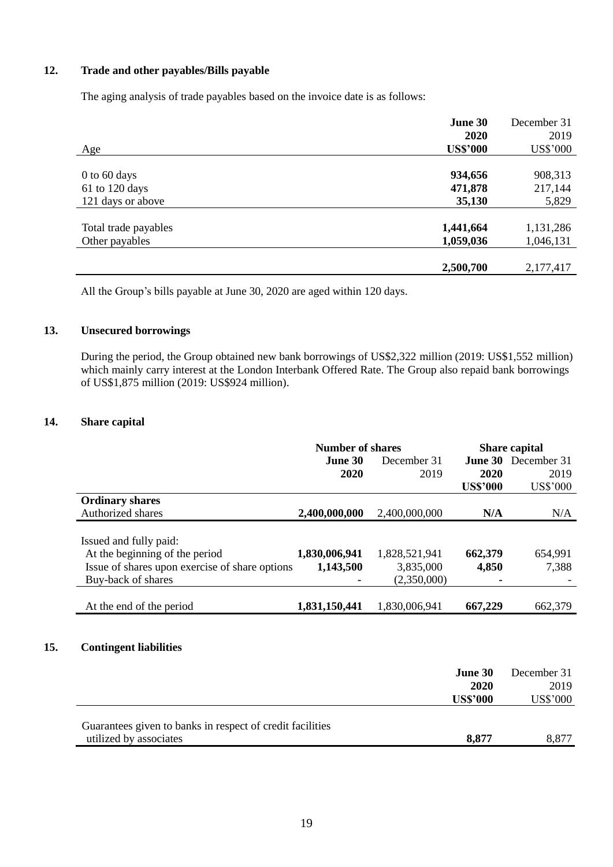### **12. Trade and other payables/Bills payable**

The aging analysis of trade payables based on the invoice date is as follows:

|                      | June 30         | December 31     |
|----------------------|-----------------|-----------------|
|                      | 2020            | 2019            |
| Age                  | <b>US\$'000</b> | <b>US\$'000</b> |
|                      |                 |                 |
| $0$ to 60 days       | 934,656         | 908,313         |
| 61 to 120 days       | 471,878         | 217,144         |
| 121 days or above    | 35,130          | 5,829           |
|                      |                 |                 |
| Total trade payables | 1,441,664       | 1,131,286       |
| Other payables       | 1,059,036       | 1,046,131       |
|                      |                 |                 |
|                      | 2,500,700       | 2,177,417       |

All the Group's bills payable at June 30, 2020 are aged within 120 days.

### **13. Unsecured borrowings**

During the period, the Group obtained new bank borrowings of US\$2,322 million (2019: US\$1,552 million) which mainly carry interest at the London Interbank Offered Rate. The Group also repaid bank borrowings of US\$1,875 million (2019: US\$924 million).

### **14. Share capital**

**15.** 

|                                                | <b>Number of shares</b> |               | <b>Share capital</b> |                            |
|------------------------------------------------|-------------------------|---------------|----------------------|----------------------------|
|                                                | June 30                 | December 31   |                      | <b>June 30</b> December 31 |
|                                                | 2020                    | 2019          | 2020                 | 2019                       |
|                                                |                         |               | <b>US\$'000</b>      | <b>US\$'000</b>            |
| <b>Ordinary shares</b>                         |                         |               |                      |                            |
| Authorized shares                              | 2,400,000,000           | 2,400,000,000 | N/A                  | N/A                        |
|                                                |                         |               |                      |                            |
| Issued and fully paid:                         |                         |               |                      |                            |
| At the beginning of the period                 | 1,830,006,941           | 1,828,521,941 | 662,379              | 654,991                    |
| Issue of shares upon exercise of share options | 1,143,500               | 3,835,000     | 4,850                | 7,388                      |
| Buy-back of shares                             |                         | (2,350,000)   |                      |                            |
|                                                |                         |               |                      |                            |
| At the end of the period                       | 1,831,150,441           | 1,830,006,941 | 667,229              | 662,379                    |
|                                                |                         |               |                      |                            |
|                                                |                         |               |                      |                            |
| <b>Contingent liabilities</b>                  |                         |               |                      |                            |
|                                                |                         |               |                      |                            |
|                                                |                         |               | <b>June 30</b>       | December 31                |
|                                                |                         |               | 2020                 | 2019                       |
|                                                |                         |               | <b>US\$'000</b>      | US\$'000                   |

| Guarantees given to banks in respect of credit facilities |       |       |
|-----------------------------------------------------------|-------|-------|
| utilized by associates                                    | 8,877 | 8,877 |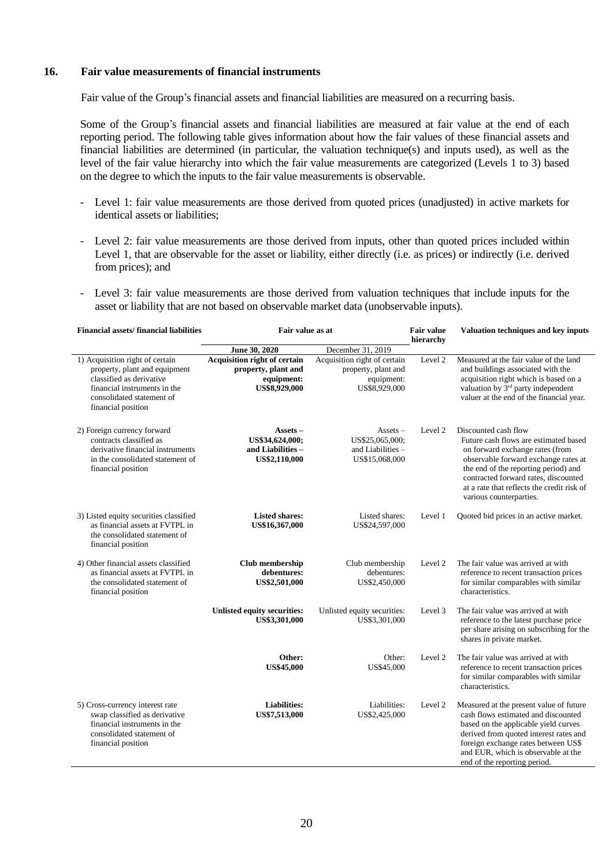#### **16. Fair value measurements of financial instruments**

Fair value of the Group's financial assets and financial liabilities are measured on a recurring basis.

Some of the Group's financial assets and financial liabilities are measured at fair value at the end of each reporting period. The following table gives information about how the fair values of these financial assets and financial liabilities are determined (in particular, the valuation technique(s) and inputs used), as well as the level of the fair value hierarchy into which the fair value measurements are categorized (Levels 1 to 3) based on the degree to which the inputs to the fair value measurements is observable.

- Level 1: fair value measurements are those derived from quoted prices (unadjusted) in active markets for identical assets or liabilities;
- Level 2: fair value measurements are those derived from inputs, other than quoted prices included within Level 1, that are observable for the asset or liability, either directly (i.e. as prices) or indirectly (i.e. derived from prices); and
- Level 3: fair value measurements are those derived from valuation techniques that include inputs for the asset or liability that are not based on observable market data (unobservable inputs).

| <b>Financial assets/financial liabilities</b>                                                                                                                                   | Fair value as at                                                                   |                                                                                        | <b>Fair value</b><br>hierarchy | Valuation techniques and key inputs                                                                                                                                                                                                                                                               |
|---------------------------------------------------------------------------------------------------------------------------------------------------------------------------------|------------------------------------------------------------------------------------|----------------------------------------------------------------------------------------|--------------------------------|---------------------------------------------------------------------------------------------------------------------------------------------------------------------------------------------------------------------------------------------------------------------------------------------------|
|                                                                                                                                                                                 | June 30, 2020                                                                      | December 31, 2019                                                                      |                                |                                                                                                                                                                                                                                                                                                   |
| 1) Acquisition right of certain<br>property, plant and equipment<br>classified as derivative<br>financial instruments in the<br>consolidated statement of<br>financial position | Acquisition right of certain<br>property, plant and<br>equipment:<br>US\$8,929,000 | Acquisition right of certain<br>property, plant and<br>equipment:<br>US\$8,929,000     | Level 2                        | Measured at the fair value of the land<br>and buildings associated with the<br>acquisition right which is based on a<br>valuation by 3 <sup>rd</sup> party independent<br>valuer at the end of the financial year.                                                                                |
| 2) Foreign currency forward<br>contracts classified as<br>derivative financial instruments<br>in the consolidated statement of<br>financial position                            | $\operatorname{Assets}$ –<br>US\$34,624,000;<br>and Liabilities -<br>US\$2,110,000 | $\overline{\text{Assets}}$ –<br>US\$25,065,000:<br>and Liabilities -<br>US\$15,068,000 | Level 2                        | Discounted cash flow<br>Future cash flows are estimated based<br>on forward exchange rates (from<br>observable forward exchange rates at<br>the end of the reporting period) and<br>contracted forward rates, discounted<br>at a rate that reflects the credit risk of<br>various counterparties. |
| 3) Listed equity securities classified<br>as financial assets at FVTPL in<br>the consolidated statement of<br>financial position                                                | <b>Listed shares:</b><br>US\$16,367,000                                            | Listed shares:<br>US\$24,597,000                                                       | Level 1                        | Quoted bid prices in an active market.                                                                                                                                                                                                                                                            |
| 4) Other financial assets classified<br>as financial assets at FVTPL in<br>the consolidated statement of<br>financial position                                                  | <b>Club</b> membership<br>debentures:<br>US\$2,501,000                             | Club membership<br>debentures:<br>US\$2,450,000                                        | Level 2                        | The fair value was arrived at with<br>reference to recent transaction prices<br>for similar comparables with similar<br>characteristics.                                                                                                                                                          |
|                                                                                                                                                                                 | Unlisted equity securities:<br>US\$3,301,000                                       | Unlisted equity securities:<br>US\$3,301,000                                           | Level 3                        | The fair value was arrived at with<br>reference to the latest purchase price<br>per share arising on subscribing for the<br>shares in private market.                                                                                                                                             |
|                                                                                                                                                                                 | Other:<br><b>US\$45,000</b>                                                        | Other:<br>US\$45,000                                                                   | Level 2                        | The fair value was arrived at with<br>reference to recent transaction prices<br>for similar comparables with similar<br>characteristics.                                                                                                                                                          |
| 5) Cross-currency interest rate<br>swap classified as derivative<br>financial instruments in the<br>consolidated statement of<br>financial position                             | <b>Liabilities:</b><br>US\$7,513,000                                               | Liabilities:<br>US\$2,425,000                                                          | Level 2                        | Measured at the present value of future<br>cash flows estimated and discounted<br>based on the applicable yield curves<br>derived from quoted interest rates and<br>foreign exchange rates between US\$<br>and EUR, which is observable at the<br>end of the reporting period.                    |